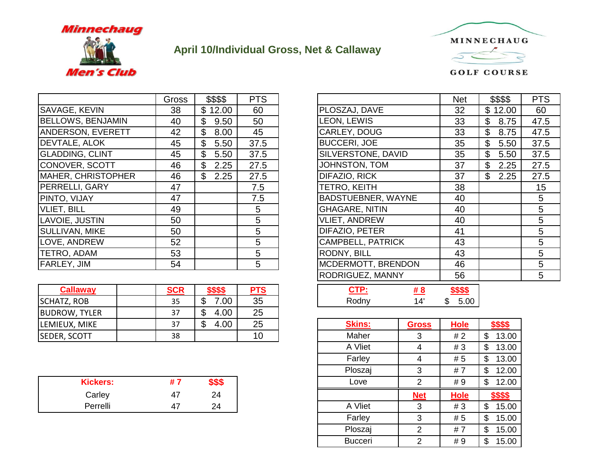

## **April 10/Individual Gross, Net & Callaway**



SAVAGE, KEVIN 38 \$ 12.00 60  $BELLOWS, BENJAMIN$   $40$   $$9.50$  50 ANDERSON, EVERETT | 42 | \$ 8.00 | 45 DEVTALE, ALOK | 45 | \$ 5.50 | 37.5 GLADDING, CLINT | 45 | \$ 5.50 37.5 CONOVER, SCOTT | 46 | \$ 2.25 | 27.5 MAHER, CHRISTOPHER  $\begin{array}{|c|c|c|c|c|c|} \hline & 46 & \text{ } & \text{ } & 2.25 & \text{ } & 27.5 \hline \end{array}$ PERRELLI, GARY 47 | 7.5 PINTO, VIJAY | 47 | | 7.5 | |BADSTUEBNER, WAYNE | 40 | | 5 VLIET, BILL | 49 | | 5 | |GHAGARE, NITIN | 40 | | 5 LAVOIE, JUSTIN 1 50 1 5 SULLIVAN, MIKE | 50 | 5 LOVE, ANDREW 52 5 TETRO, ADAM | 53 | | 5 | |RODNY, BILL | 43 | | 5 FARLEY, JIM | 54 | | 5 | |MCDERMOTT, BRENDON | 46 | | 5

| Callaway             | <b>SCR</b> | <u>\$\$\$\$</u> | PTS | <u>CTP:</u>   | #8           | <b>\$\$\$\$</b> |            |
|----------------------|------------|-----------------|-----|---------------|--------------|-----------------|------------|
| <b>SCHATZ, ROB</b>   | 35         | 0.00            | 35  | Rodny         | 14'          | 5.00            |            |
| <b>BUDROW, TYLER</b> | 37         | 4.00            | 25  |               |              |                 |            |
| LEMIEUX, MIKE        | 37         | 4.00            | 25  | <b>Skins:</b> | <b>Gross</b> | <b>Hole</b>     | \$\$\$\$   |
| <b>SEDER, SCOTT</b>  | 38         |                 | 10  | Maher         |              | #2              | 13.00<br>ง |

| <b>Kickers:</b><br>#<br>ை |
|---------------------------|
| Carley<br>24<br>4.        |
| Perrelli<br>24<br>4       |

| <b>Gross</b> | \$\$\$\$    | <b>PTS</b> |                          | <b>Net</b> | \$\$\$\$   | <b>PTS</b> |
|--------------|-------------|------------|--------------------------|------------|------------|------------|
| 38           | \$<br>12.00 | 60         | PLOSZAJ, DAVE            | 32         | \$12.00    | 60         |
| 40           | \$<br>9.50  | 50         | LEON, LEWIS              | 33         | \$<br>8.75 | 47.5       |
| 42           | \$<br>8.00  | 45         | CARLEY, DOUG             | 33         | \$<br>8.75 | 47.5       |
| 45           | \$<br>5.50  | 37.5       | <b>BUCCERI, JOE</b>      | 35         | \$<br>5.50 | 37.5       |
| 45           | \$<br>5.50  | 37.5       | SILVERSTONE, DAVID       | 35         | \$<br>5.50 | 37.5       |
| 46           | \$<br>2.25  | 27.5       | JOHNSTON, TOM            | 37         | \$<br>2.25 | 27.5       |
| 46           | \$<br>2.25  | 27.5       | DIFAZIO, RICK            | 37         | \$<br>2.25 | 27.5       |
| 47           |             | 7.5        | TETRO, KEITH             | 38         |            | 15         |
| 47           |             | 7.5        | BADSTUEBNER, WAYNE       | 40         |            | 5          |
| 49           |             | 5          | <b>GHAGARE, NITIN</b>    | 40         |            | 5          |
| 50           |             | 5          | <b>VLIET, ANDREW</b>     | 40         |            | 5          |
| 50           |             | 5          | DIFAZIO, PETER           | 41         |            | 5          |
| 52           |             | 5          | <b>CAMPBELL, PATRICK</b> | 43         |            | 5          |
| 53           |             | 5          | RODNY, BILL              | 43         |            | 5          |
| 54           |             | 5          | MCDERMOTT, BRENDON       | 46         |            | 5          |
|              |             |            | RODRIGUEZ, MANNY         | 56         |            | 5          |
|              |             |            |                          |            |            |            |

| <b>SCR</b> | - -               | -^<br>r            |       | _____ |           |
|------------|-------------------|--------------------|-------|-------|-----------|
| つロ<br>ر ر  | m<br>Ш<br>D<br>◡◡ | $\sim$ $\sim$<br>. | …odn∨ |       | .00<br>۰D |

| EMIEUX, MIKE    | 37 | $\boldsymbol{\mathsf{S}}$<br>4.00 | 25 | <b>Skins:</b>  | <b>Gross</b> | <b>Hole</b> | \$\$\$\$     |
|-----------------|----|-----------------------------------|----|----------------|--------------|-------------|--------------|
| EDER, SCOTT     | 38 |                                   | 10 | Maher          | 3            | #2          | 13.00<br>\$  |
|                 |    |                                   |    | A Vliet        | 4            | #3          | 13.00<br>\$. |
|                 |    |                                   |    | Farley         | 4            | # 5         | 13.00<br>\$  |
|                 |    |                                   |    | Ploszaj        | 3            | #7          | 12.00<br>\$  |
| <b>Kickers:</b> | #7 | \$\$\$                            |    | Love           | 2            | #9          | 12.00<br>\$  |
| Carley          | 47 | 24                                |    |                | <b>Net</b>   | <b>Hole</b> | \$\$\$\$     |
| Perrelli        | 47 | 24                                |    | A Vliet        | 3            | #3          | 15.00<br>\$  |
|                 |    |                                   |    | Farley         | 3            | # 5         | 15.00<br>\$  |
|                 |    |                                   |    | Ploszaj        | 2            | #7          | 15.00<br>\$  |
|                 |    |                                   |    | <b>Bucceri</b> | 2            | #9          | 15.00<br>\$  |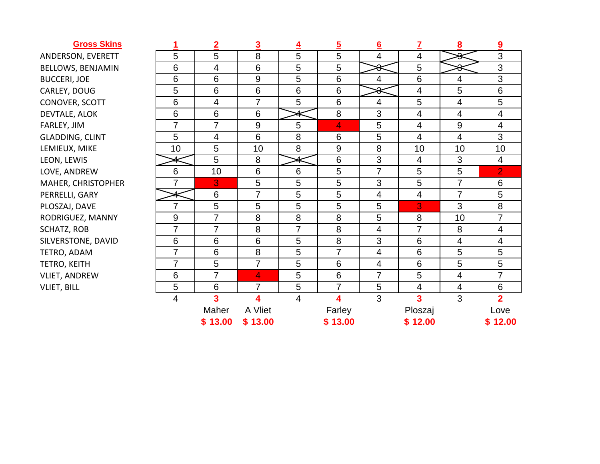## **Gross Skins**

ANDERSON, EVERETT BELLOWS, BENJAMIN BUCCERI, JOE CARLEY, DOUG CONOVER, SCOTT DEVTALE, ALOK FARLEY, JIM GLADDING, CLINT LEMIEUX, MIKE LEON, LEWIS LOVE, ANDREW MAHER, CHRISTOPHER PERRELLI, GARY PLOSZAJ, DAVE RODRIGUEZ, MANNY SCHATZ, ROB SILVERSTONE, DAVID TETRO, ADAM TETRO, KEITH VLIET, ANDREW VLIET, BILL

| 1                       | $\overline{2}$          | $\overline{\mathbf{3}}$ | $\overline{4}$          | $\overline{5}$   | 6                        | $\mathbf{Z}$             | 8                        | $\boldsymbol{9}$         |
|-------------------------|-------------------------|-------------------------|-------------------------|------------------|--------------------------|--------------------------|--------------------------|--------------------------|
| 5                       | 5                       | 8                       | 5                       | 5                | $\overline{\mathbf{4}}$  | $\overline{\mathbf{4}}$  | Ω<br>o                   | 3                        |
| 6                       | $\overline{4}$          | 6                       | 5                       | 5                | ୫                        | 5                        | ◠<br>ᢦ                   | $\overline{3}$           |
| 6                       | 6                       | $9\,$                   | 5                       | 6                | 4                        | 6                        | $\overline{\mathbf{4}}$  | 3                        |
| 5                       | $6\phantom{1}$          | $\,6$                   | $6\phantom{1}6$         | 6                | ୫                        | $\overline{\mathbf{4}}$  | 5                        | 6                        |
| 6                       | $\overline{4}$          | $\overline{7}$          | 5                       | 6                | $\overline{4}$           | 5                        | $\overline{\mathcal{A}}$ | 5                        |
| 6                       | 6                       | 6                       | 4                       | 8                | 3                        | $\overline{\mathcal{A}}$ | $\overline{\mathcal{A}}$ | $\overline{\mathcal{A}}$ |
| $\overline{7}$          | $\overline{7}$          | $9\,$                   | 5                       | 4                | 5                        | $\overline{4}$           | $\mathsf 9$              | $\overline{\mathcal{A}}$ |
| 5                       | $\overline{\mathbf{4}}$ | 6                       | 8                       | 6                | 5                        | $\overline{\mathbf{4}}$  | $\overline{\mathcal{A}}$ | 3                        |
| 10                      | 5                       | 10                      | 8                       | $\boldsymbol{9}$ | 8                        | 10                       | 10                       | 10                       |
|                         | 5                       | 8                       | 4                       | $\,6$            | 3                        | $\overline{\mathbf{4}}$  | $\mathfrak{S}$           | $\overline{4}$           |
| 6                       | 10                      | 6                       | $6\phantom{1}6$         | 5                | $\overline{7}$           | 5                        | 5                        | $\overline{2}$           |
| $\overline{7}$          | 3                       | 5                       | 5                       | 5                | 3                        | 5                        | $\overline{7}$           | 6                        |
| 4                       | 6                       | $\overline{7}$          | 5                       | 5                | $\overline{\mathcal{A}}$ | $\overline{\mathcal{A}}$ | $\overline{7}$           | 5                        |
| $\overline{7}$          | 5                       | 5                       | 5                       | 5                | 5                        | 3                        | 3                        | 8                        |
| $\boldsymbol{9}$        | $\overline{7}$          | 8                       | 8                       | 8                | 5                        | 8                        | 10                       | $\overline{7}$           |
| $\overline{7}$          | $\overline{7}$          | 8                       | $\overline{7}$          | 8                | $\overline{\mathbf{4}}$  | $\overline{7}$           | 8                        | $\overline{\mathbf{4}}$  |
| 6                       | 6                       | 6                       | 5                       | 8                | 3                        | 6                        | $\overline{\mathcal{A}}$ | $\overline{4}$           |
| $\overline{7}$          | 6                       | 8                       | 5                       | $\overline{7}$   | $\overline{\mathbf{4}}$  | $\,6$                    | 5                        | 5                        |
| $\overline{7}$          | 5                       | $\overline{7}$          | $\overline{5}$          | 6                | $\overline{\mathbf{4}}$  | $6\phantom{1}$           | 5                        | 5                        |
| 6                       | $\overline{7}$          | 4                       | 5                       | $\,6$            | $\overline{7}$           | 5                        | 4                        | $\overline{7}$           |
| 5                       | 6                       | $\overline{7}$          | 5                       | $\overline{7}$   | 5                        | $\overline{4}$           | $\overline{\mathbf{4}}$  | 6                        |
| $\overline{\mathbf{4}}$ | $\overline{\mathbf{3}}$ | $\overline{\mathbf{4}}$ | $\overline{\mathbf{4}}$ | 4                | $\overline{3}$           | 3                        | 3                        | $\overline{2}$           |
|                         | Maher                   | A Vliet                 |                         | Farley           |                          | Ploszaj                  |                          | Love                     |
|                         | \$13.00                 | \$13.00                 |                         | \$13.00          |                          | \$12.00                  |                          | \$12.00                  |